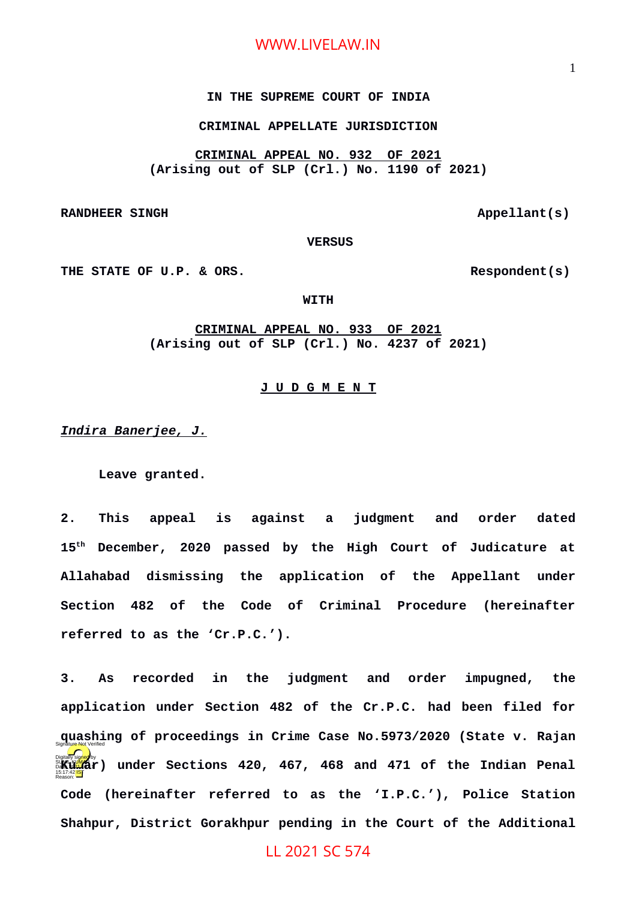#### **IN THE SUPREME COURT OF INDIA**

### **CRIMINAL APPELLATE JURISDICTION**

**CRIMINAL APPEAL NO. 932 OF 2021 (Arising out of SLP (Crl.) No. 1190 of 2021)**

**RANDHEER SINGH Appellant(s)** 

 **VERSUS**

THE STATE OF U.P. & ORS. Respondent(s)

#### **WITH**

**CRIMINAL APPEAL NO. 933 OF 2021 (Arising out of SLP (Crl.) No. 4237 of 2021)**

#### **J U D G M E N T**

*Indira Banerjee, J.*

**Leave granted.**

**2. This appeal is against a judgment and order dated 15th December, 2020 passed by the High Court of Judicature at Allahabad dismissing the application of the Appellant under Section 482 of the Code of Criminal Procedure (hereinafter referred to as the 'Cr.P.C.').** 

**3. As recorded in the judgment and order impugned, the application under Section 482 of the Cr.P.C. had been filed for quashing of proceedings in Crime Case No.5973/2020 (State v. Rajan** Signature Not Verified**Mary 18:00**<br>Dat<mark>ured by a</mark> punder Sections 420, 467, 468 and 471 of the Indian Penal **Code (hereinafter referred to as the 'I.P.C.'), Police Station Shahpur, District Gorakhpur pending in the Court of the Additional** Reason:

LL 2021 SC 574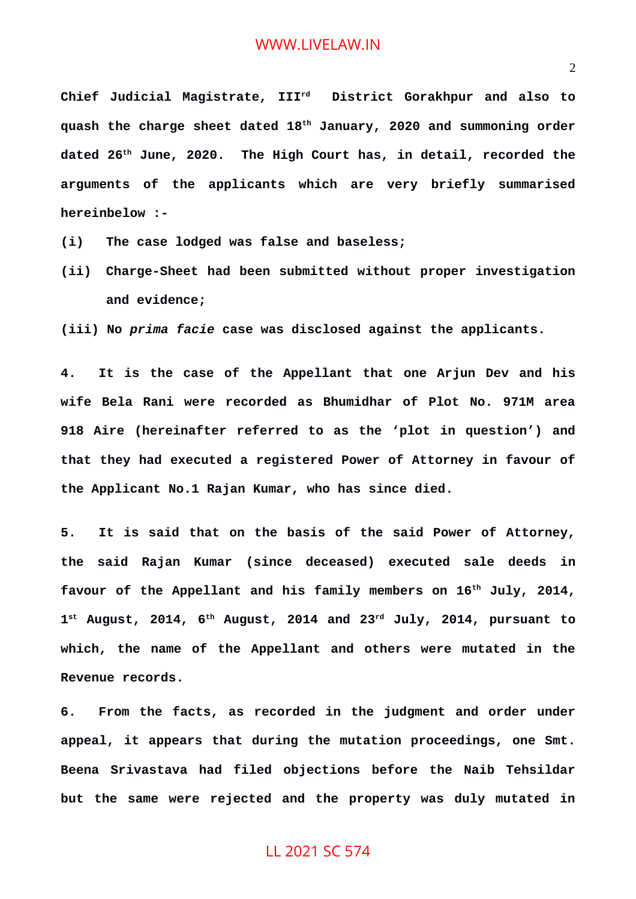**Chief Judicial Magistrate, IIIrd District Gorakhpur and also to quash the charge sheet dated 18th January, 2020 and summoning order dated 26th June, 2020. The High Court has, in detail, recorded the arguments of the applicants which are very briefly summarised hereinbelow :-**

- **(i) The case lodged was false and baseless;**
- **(ii) Charge-Sheet had been submitted without proper investigation and evidence;**

**(iii) No** *prima facie* **case was disclosed against the applicants.**

**4. It is the case of the Appellant that one Arjun Dev and his wife Bela Rani were recorded as Bhumidhar of Plot No. 971M area 918 Aire (hereinafter referred to as the 'plot in question') and that they had executed a registered Power of Attorney in favour of the Applicant No.1 Rajan Kumar, who has since died.**

**5. It is said that on the basis of the said Power of Attorney, the said Rajan Kumar (since deceased) executed sale deeds in favour of the Appellant and his family members on 16th July, 2014, 1 st August, 2014, 6th August, 2014 and 23rd July, 2014, pursuant to which, the name of the Appellant and others were mutated in the Revenue records.**

**6. From the facts, as recorded in the judgment and order under appeal, it appears that during the mutation proceedings, one Smt. Beena Srivastava had filed objections before the Naib Tehsildar but the same were rejected and the property was duly mutated in**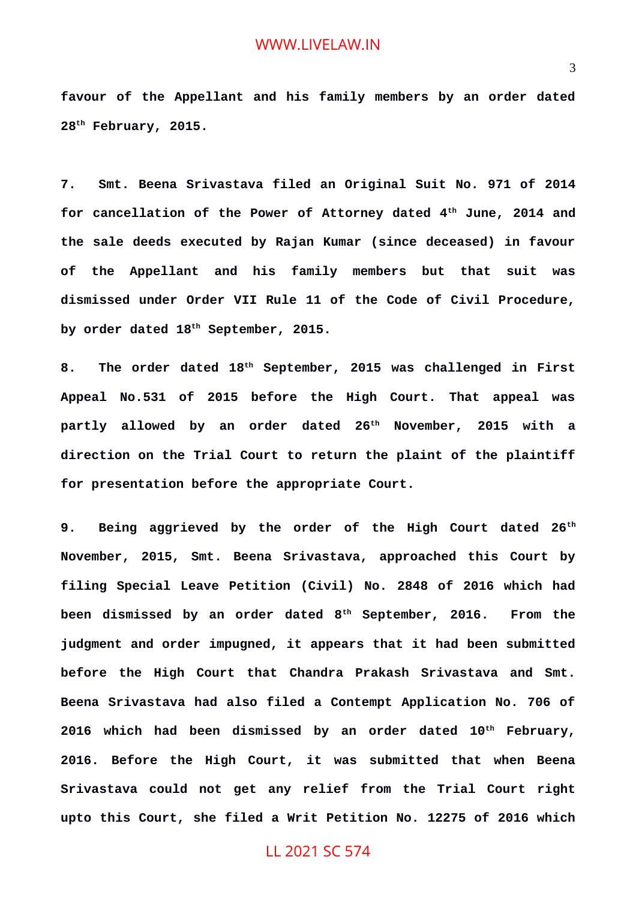**favour of the Appellant and his family members by an order dated 28th February, 2015.**

**7. Smt. Beena Srivastava filed an Original Suit No. 971 of 2014 for cancellation of the Power of Attorney dated 4th June, 2014 and the sale deeds executed by Rajan Kumar (since deceased) in favour of the Appellant and his family members but that suit was dismissed under Order VII Rule 11 of the Code of Civil Procedure, by order dated 18th September, 2015.**

**8. The order dated 18th September, 2015 was challenged in First Appeal No.531 of 2015 before the High Court. That appeal was partly allowed by an order dated 26th November, 2015 with a direction on the Trial Court to return the plaint of the plaintiff for presentation before the appropriate Court.**

**9. Being aggrieved by the order of the High Court dated 26th November, 2015, Smt. Beena Srivastava, approached this Court by filing Special Leave Petition (Civil) No. 2848 of 2016 which had been dismissed by an order dated 8th September, 2016. From the judgment and order impugned, it appears that it had been submitted before the High Court that Chandra Prakash Srivastava and Smt. Beena Srivastava had also filed a Contempt Application No. 706 of 2016 which had been dismissed by an order dated 10th February, 2016. Before the High Court, it was submitted that when Beena Srivastava could not get any relief from the Trial Court right upto this Court, she filed a Writ Petition No. 12275 of 2016 which**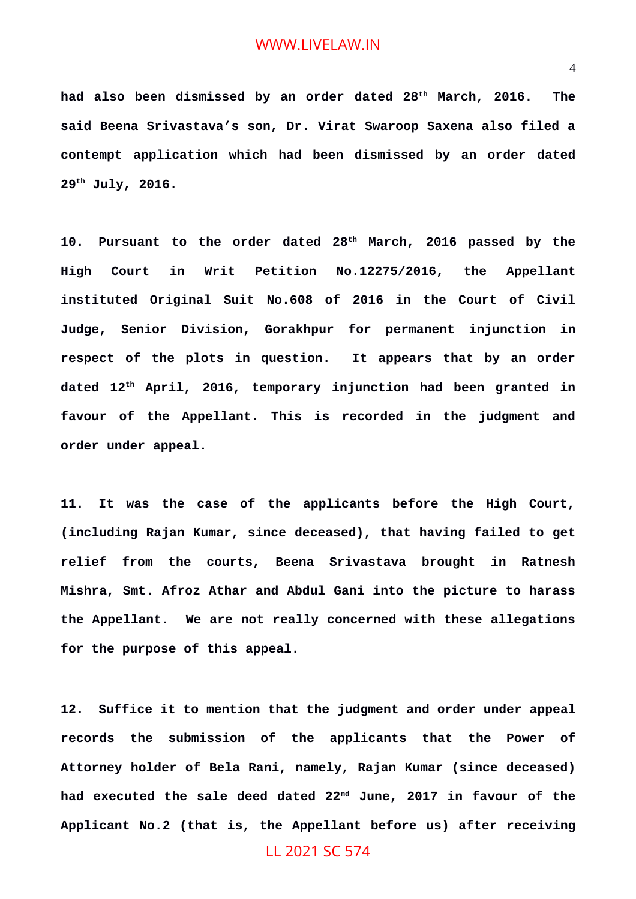**had also been dismissed by an order dated 28th March, 2016. The said Beena Srivastava's son, Dr. Virat Swaroop Saxena also filed a contempt application which had been dismissed by an order dated 29th July, 2016.**

**10. Pursuant to the order dated 28th March, 2016 passed by the High Court in Writ Petition No.12275/2016, the Appellant instituted Original Suit No.608 of 2016 in the Court of Civil Judge, Senior Division, Gorakhpur for permanent injunction in respect of the plots in question. It appears that by an order dated 12th April, 2016, temporary injunction had been granted in favour of the Appellant. This is recorded in the judgment and order under appeal.**

**11. It was the case of the applicants before the High Court, (including Rajan Kumar, since deceased), that having failed to get relief from the courts, Beena Srivastava brought in Ratnesh Mishra, Smt. Afroz Athar and Abdul Gani into the picture to harass the Appellant. We are not really concerned with these allegations for the purpose of this appeal.**

**12. Suffice it to mention that the judgment and order under appeal records the submission of the applicants that the Power of Attorney holder of Bela Rani, namely, Rajan Kumar (since deceased) had executed the sale deed dated 22nd June, 2017 in favour of the Applicant No.2 (that is, the Appellant before us) after receiving**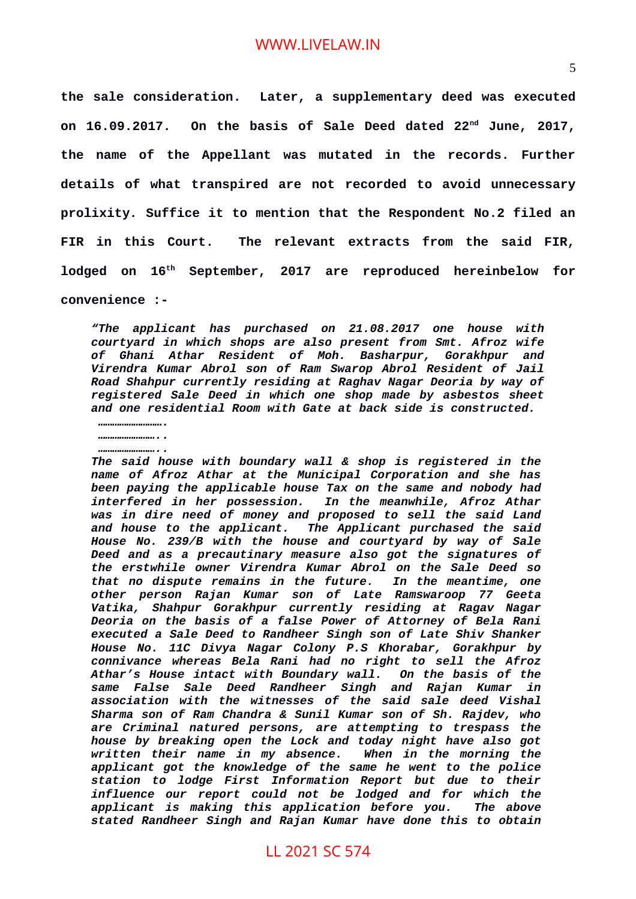**the sale consideration. Later, a supplementary deed was executed on 16.09.2017. On the basis of Sale Deed dated 22nd June, 2017, the name of the Appellant was mutated in the records. Further details of what transpired are not recorded to avoid unnecessary prolixity***.* **Suffice it to mention that the Respondent No.2 filed an FIR in this Court. The relevant extracts from the said FIR, lodged on 16th September, 2017 are reproduced hereinbelow for convenience :-**

*"The applicant has purchased on 21.08.2017 one house with courtyard in which shops are also present from Smt. Afroz wife of Ghani Athar Resident of Moh. Basharpur, Gorakhpur and Virendra Kumar Abrol son of Ram Swarop Abrol Resident of Jail Road Shahpur currently residing at Raghav Nagar Deoria by way of registered Sale Deed in which one shop made by asbestos sheet and one residential Room with Gate at back side is constructed.* 

*………………………. ……………………..*

*…………………….. The said house with boundary wall & shop is registered in the name of Afroz Athar at the Municipal Corporation and she has been paying the applicable house Tax on the same and nobody had interfered in her possession. In the meanwhile, Afroz Athar was in dire need of money and proposed to sell the said Land and house to the applicant. The Applicant purchased the said House No. 239/B with the house and courtyard by way of Sale Deed and as a precautinary measure also got the signatures of the erstwhile owner Virendra Kumar Abrol on the Sale Deed so that no dispute remains in the future. In the meantime, one other person Rajan Kumar son of Late Ramswaroop 77 Geeta Vatika, Shahpur Gorakhpur currently residing at Ragav Nagar Deoria on the basis of a false Power of Attorney of Bela Rani executed a Sale Deed to Randheer Singh son of Late Shiv Shanker House No. 11C Divya Nagar Colony P.S Khorabar, Gorakhpur by connivance whereas Bela Rani had no right to sell the Afroz Athar's House intact with Boundary wall. On the basis of the same False Sale Deed Randheer Singh and Rajan Kumar in association with the witnesses of the said sale deed Vishal Sharma son of Ram Chandra & Sunil Kumar son of Sh. Rajdev, who are Criminal natured persons, are attempting to trespass the house by breaking open the Lock and today night have also got written their name in my absence. When in the morning the applicant got the knowledge of the same he went to the police station to lodge First Information Report but due to their influence our report could not be lodged and for which the applicant is making this application before you. The above stated Randheer Singh and Rajan Kumar have done this to obtain*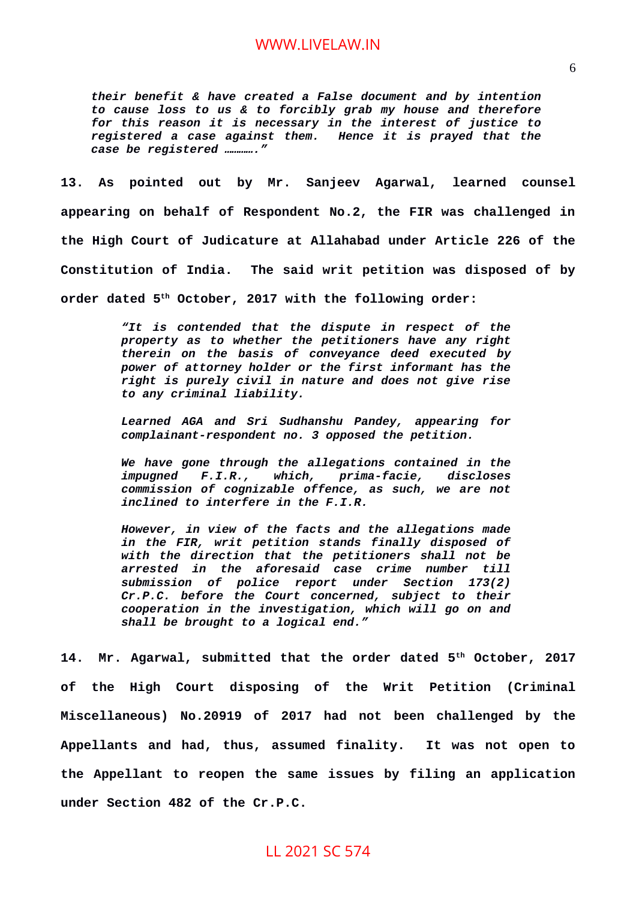*their benefit & have created a False document and by intention to cause loss to us & to forcibly grab my house and therefore for this reason it is necessary in the interest of justice to registered a case against them. Hence it is prayed that the case be registered …………."*

**13. As pointed out by Mr. Sanjeev Agarwal, learned counsel appearing on behalf of Respondent No.2, the FIR was challenged in the High Court of Judicature at Allahabad under Article 226 of the Constitution of India. The said writ petition was disposed of by order dated 5th October, 2017 with the following order:**

> *"It is contended that the dispute in respect of the property as to whether the petitioners have any right therein on the basis of conveyance deed executed by power of attorney holder or the first informant has the right is purely civil in nature and does not give rise to any criminal liability.*

> *Learned AGA and Sri Sudhanshu Pandey, appearing for complainant-respondent no. 3 opposed the petition.*

> *We have gone through the allegations contained in the impugned F.I.R., which, prima-facie, discloses commission of cognizable offence, as such, we are not inclined to interfere in the F.I.R.*

> *However, in view of the facts and the allegations made in the FIR, writ petition stands finally disposed of with the direction that the petitioners shall not be arrested in the aforesaid case crime number till submission of police report under Section 173(2) Cr.P.C. before the Court concerned, subject to their cooperation in the investigation, which will go on and shall be brought to a logical end."*

**14. Mr. Agarwal, submitted that the order dated 5th October, 2017 of the High Court disposing of the Writ Petition (Criminal Miscellaneous) No.20919 of 2017 had not been challenged by the Appellants and had, thus, assumed finality. It was not open to the Appellant to reopen the same issues by filing an application under Section 482 of the Cr.P.C.**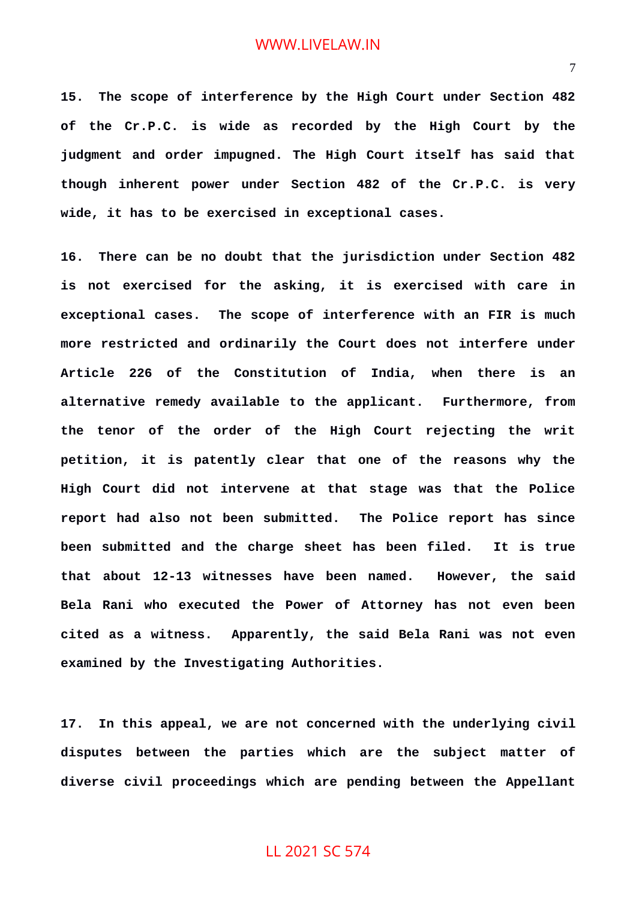**15. The scope of interference by the High Court under Section 482 of the Cr.P.C. is wide as recorded by the High Court by the judgment and order impugned. The High Court itself has said that though inherent power under Section 482 of the Cr.P.C. is very wide, it has to be exercised in exceptional cases.**

**16. There can be no doubt that the jurisdiction under Section 482 is not exercised for the asking, it is exercised with care in exceptional cases. The scope of interference with an FIR is much more restricted and ordinarily the Court does not interfere under Article 226 of the Constitution of India, when there is an alternative remedy available to the applicant. Furthermore, from the tenor of the order of the High Court rejecting the writ petition, it is patently clear that one of the reasons why the High Court did not intervene at that stage was that the Police report had also not been submitted. The Police report has since been submitted and the charge sheet has been filed. It is true that about 12-13 witnesses have been named. However, the said Bela Rani who executed the Power of Attorney has not even been cited as a witness. Apparently, the said Bela Rani was not even examined by the Investigating Authorities.**

**17. In this appeal, we are not concerned with the underlying civil disputes between the parties which are the subject matter of diverse civil proceedings which are pending between the Appellant**

#### 7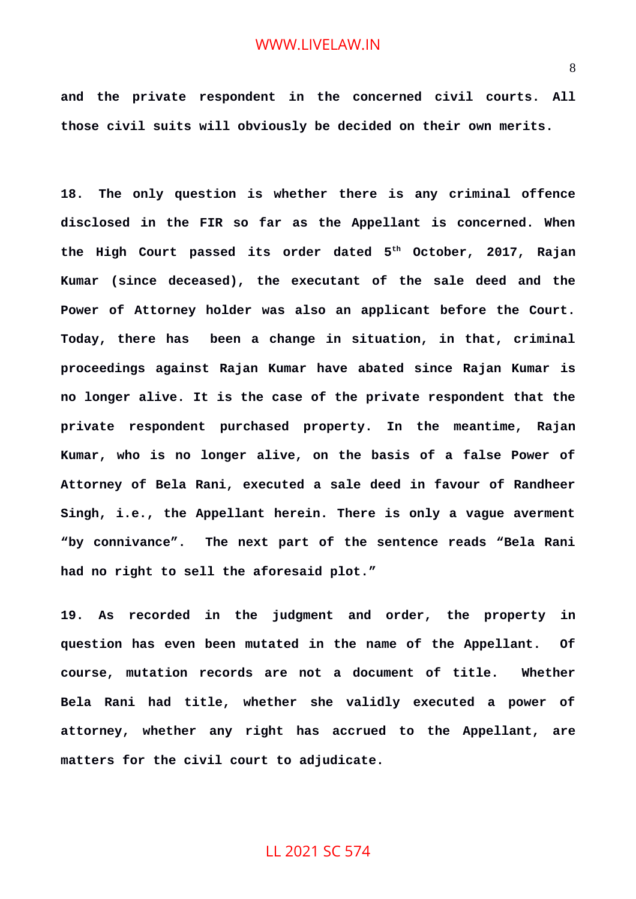**and the private respondent in the concerned civil courts. All those civil suits will obviously be decided on their own merits.**

**18. The only question is whether there is any criminal offence disclosed in the FIR so far as the Appellant is concerned. When the High Court passed its order dated 5th October, 2017, Rajan Kumar (since deceased), the executant of the sale deed and the Power of Attorney holder was also an applicant before the Court. Today, there has been a change in situation, in that, criminal proceedings against Rajan Kumar have abated since Rajan Kumar is no longer alive. It is the case of the private respondent that the private respondent purchased property. In the meantime, Rajan Kumar, who is no longer alive, on the basis of a false Power of Attorney of Bela Rani, executed a sale deed in favour of Randheer Singh, i.e., the Appellant herein. There is only a vague averment "by connivance". The next part of the sentence reads "Bela Rani had no right to sell the aforesaid plot."**

**19. As recorded in the judgment and order, the property in question has even been mutated in the name of the Appellant. Of course, mutation records are not a document of title. Whether Bela Rani had title, whether she validly executed a power of attorney, whether any right has accrued to the Appellant, are matters for the civil court to adjudicate.**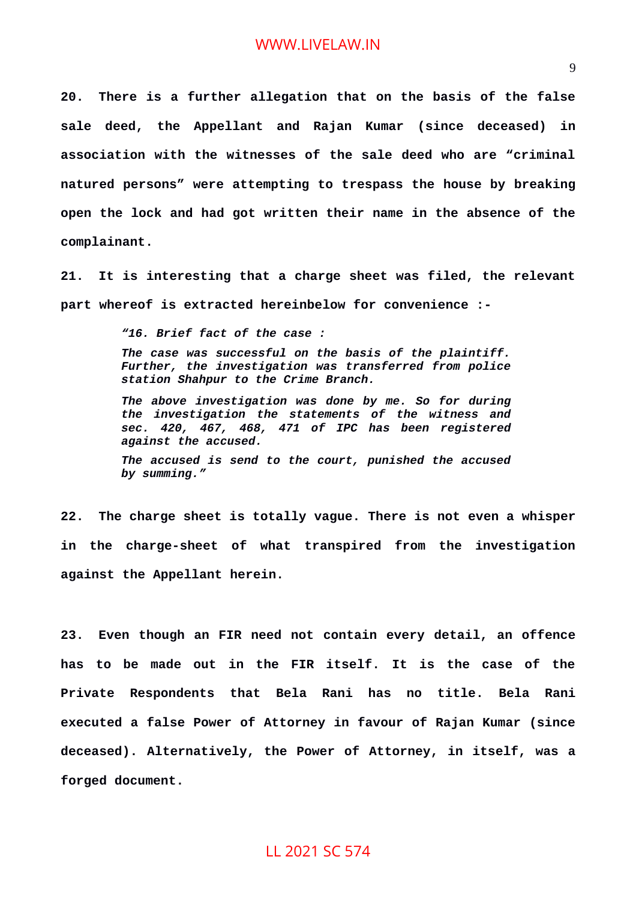**20. There is a further allegation that on the basis of the false sale deed, the Appellant and Rajan Kumar (since deceased) in association with the witnesses of the sale deed who are "criminal natured persons" were attempting to trespass the house by breaking open the lock and had got written their name in the absence of the complainant.**

**21. It is interesting that a charge sheet was filed, the relevant part whereof is extracted hereinbelow for convenience :-**

*"16. Brief fact of the case :*

*The case was successful on the basis of the plaintiff. Further, the investigation was transferred from police station Shahpur to the Crime Branch.* 

*The above investigation was done by me. So for during the investigation the statements of the witness and sec. 420, 467, 468, 471 of IPC has been registered against the accused.* 

*The accused is send to the court, punished the accused by summing."*

**22. The charge sheet is totally vague. There is not even a whisper in the charge-sheet of what transpired from the investigation against the Appellant herein.**

**23. Even though an FIR need not contain every detail, an offence has to be made out in the FIR itself. It is the case of the Private Respondents that Bela Rani has no title. Bela Rani executed a false Power of Attorney in favour of Rajan Kumar (since deceased). Alternatively, the Power of Attorney, in itself, was a forged document.**

### 9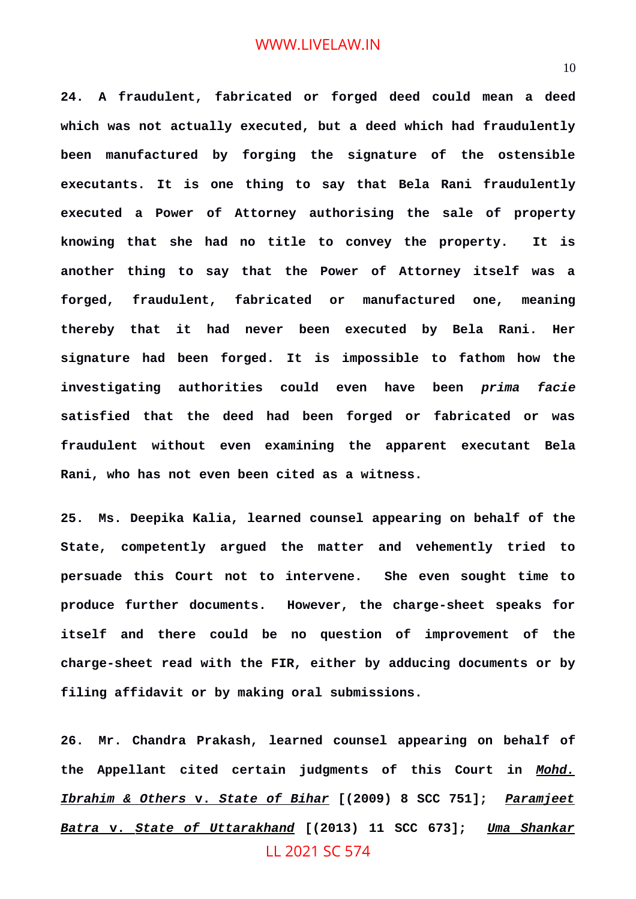**24. A fraudulent, fabricated or forged deed could mean a deed which was not actually executed, but a deed which had fraudulently been manufactured by forging the signature of the ostensible executants. It is one thing to say that Bela Rani fraudulently executed a Power of Attorney authorising the sale of property knowing that she had no title to convey the property. It is another thing to say that the Power of Attorney itself was a forged, fraudulent, fabricated or manufactured one, meaning thereby that it had never been executed by Bela Rani. Her signature had been forged. It is impossible to fathom how the investigating authorities could even have been** *prima facie* **satisfied that the deed had been forged or fabricated or was fraudulent without even examining the apparent executant Bela Rani, who has not even been cited as a witness.**

**25. Ms. Deepika Kalia, learned counsel appearing on behalf of the State, competently argued the matter and vehemently tried to persuade this Court not to intervene. She even sought time to produce further documents. However, the charge-sheet speaks for itself and there could be no question of improvement of the charge-sheet read with the FIR, either by adducing documents or by filing affidavit or by making oral submissions.**

**26. Mr. Chandra Prakash, learned counsel appearing on behalf of the Appellant cited certain judgments of this Court in** *Mohd. Ibrahim & Others* **v.** *State of Bihar* **[(2009) 8 SCC 751];** *Paramjeet Batra* **v.** *State of Uttarakhand* **[(2013) 11 SCC 673];** *Uma Shankar* LL 2021 SC 574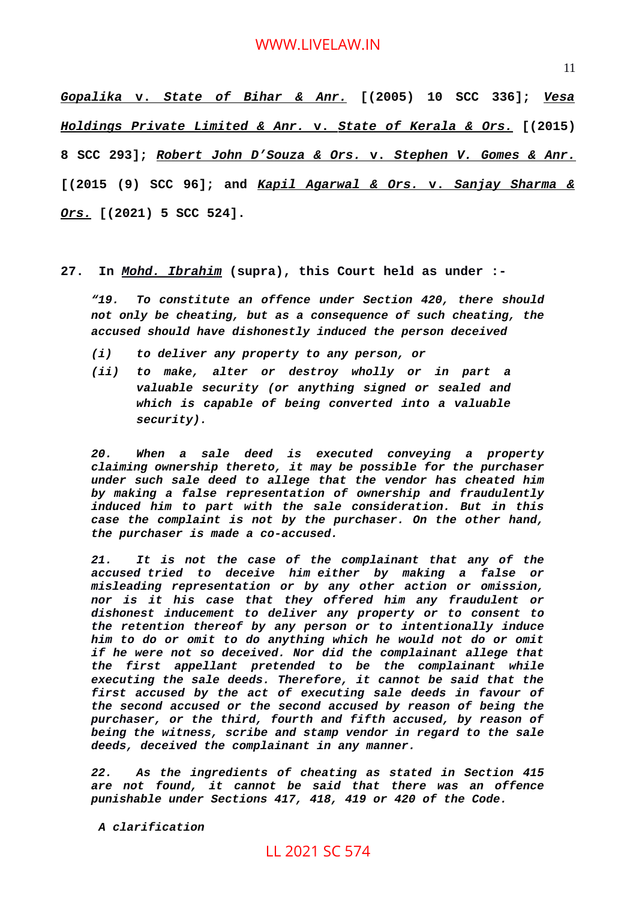*Gopalika* **v.** *State of Bihar & Anr.* **[(2005) 10 SCC 336];** *Vesa Holdings Private Limited & Anr.* **v.** *State of Kerala & Ors.* **[(2015) 8 SCC 293];** *Robert John D'Souza & Ors.* **v.** *Stephen V. Gomes & Anr.* **[(2015 (9) SCC 96]; and** *Kapil Agarwal & Ors.* **v.** *Sanjay Sharma & Ors.* **[(2021) 5 SCC 524].**

**27. In** *Mohd. Ibrahim* **(supra), this Court held as under :-**

*"19. To constitute an offence under Section 420, there should not only be cheating, but as a consequence of such cheating, the accused should have dishonestly induced the person deceived*

- *(i) to deliver any property to any person, or*
- *(ii) to make, alter or destroy wholly or in part a valuable security (or anything signed or sealed and which is capable of being converted into a valuable security).*

*20. When a sale deed is executed conveying a property claiming ownership thereto, it may be possible for the purchaser under such sale deed to allege that the vendor has cheated him by making a false representation of ownership and fraudulently induced him to part with the sale consideration. But in this case the complaint is not by the purchaser. On the other hand, the purchaser is made a co-accused.*

*21. It is not the case of the complainant that any of the accused tried to deceive him either by making a false or misleading representation or by any other action or omission, nor is it his case that they offered him any fraudulent or dishonest inducement to deliver any property or to consent to the retention thereof by any person or to intentionally induce him to do or omit to do anything which he would not do or omit if he were not so deceived. Nor did the complainant allege that the first appellant pretended to be the complainant while executing the sale deeds. Therefore, it cannot be said that the first accused by the act of executing sale deeds in favour of the second accused or the second accused by reason of being the purchaser, or the third, fourth and fifth accused, by reason of being the witness, scribe and stamp vendor in regard to the sale deeds, deceived the complainant in any manner.*

*22. As the ingredients of cheating as stated in Section 415 are not found, it cannot be said that there was an offence punishable under Sections 417, 418, 419 or 420 of the Code.*

*A clarification*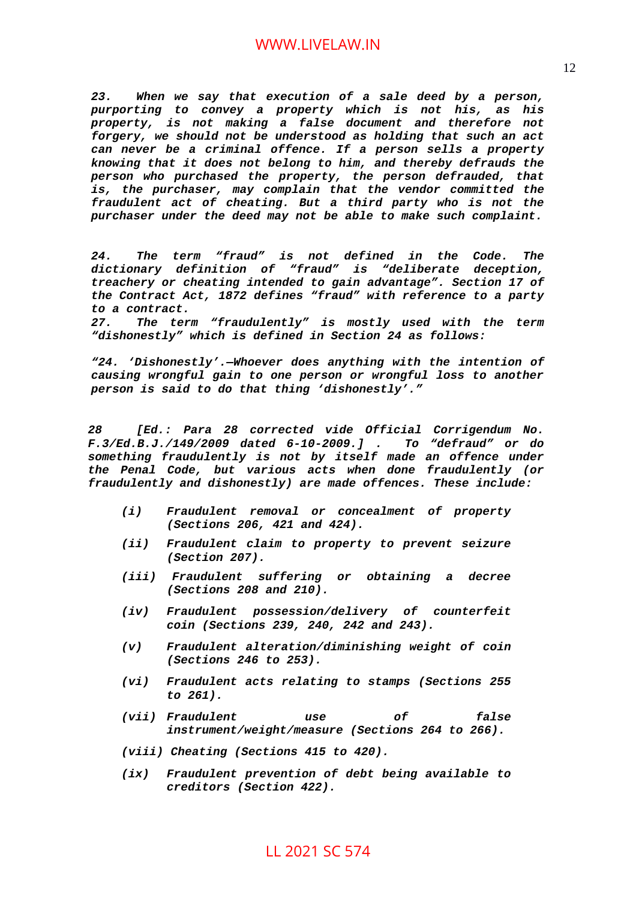*23. When we say that execution of a sale deed by a person, purporting to convey a property which is not his, as his property, is not making a false document and therefore not forgery, we should not be understood as holding that such an act can never be a criminal offence. If a person sells a property knowing that it does not belong to him, and thereby defrauds the person who purchased the property, the person defrauded, that is, the purchaser, may complain that the vendor committed the fraudulent act of cheating. But a third party who is not the purchaser under the deed may not be able to make such complaint.*

*24. The term "fraud" is not defined in the Code. The dictionary definition of "fraud" is "deliberate deception, treachery or cheating intended to gain advantage". Section 17 of the Contract Act, 1872 defines "fraud" with reference to a party to a contract.*

*27. The term "fraudulently" is mostly used with the term "dishonestly" which is defined in Section 24 as follows:*

*"24. 'Dishonestly'.—Whoever does anything with the intention of causing wrongful gain to one person or wrongful loss to another person is said to do that thing 'dishonestly'."*

*28 [Ed.: Para 28 corrected vide Official Corrigendum No. F.3/Ed.B.J./149/2009 dated 6-10-2009.] . To "defraud" or do something fraudulently is not by itself made an offence under the Penal Code, but various acts when done fraudulently (or fraudulently and dishonestly) are made offences. These include:*

- *(i) Fraudulent removal or concealment of property (Sections 206, 421 and 424).*
- *(ii) Fraudulent claim to property to prevent seizure (Section 207).*
- *(iii) Fraudulent suffering or obtaining a decree (Sections 208 and 210).*
- *(iv) Fraudulent possession/delivery of counterfeit coin (Sections 239, 240, 242 and 243).*
- *(v) Fraudulent alteration/diminishing weight of coin (Sections 246 to 253).*
- *(vi) Fraudulent acts relating to stamps (Sections 255 to 261).*
- *(vii) Fraudulent use of false instrument/weight/measure (Sections 264 to 266).*
- *(viii) Cheating (Sections 415 to 420).*
- *(ix) Fraudulent prevention of debt being available to creditors (Section 422).*

12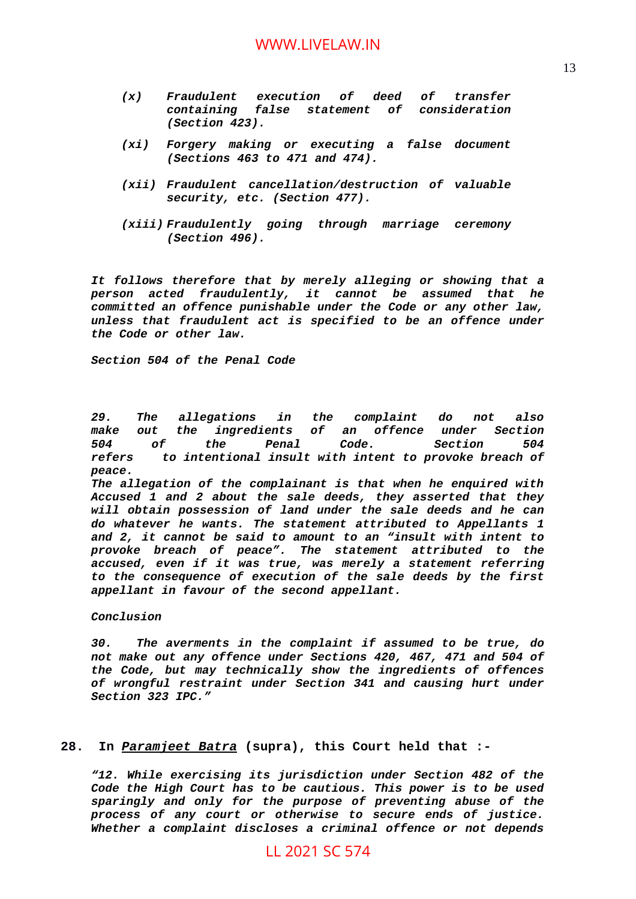- *(x) Fraudulent execution of deed of transfer containing false statement of consideration (Section 423).*
- *(xi) Forgery making or executing a false document (Sections 463 to 471 and 474).*
- *(xii) Fraudulent cancellation/destruction of valuable security, etc. (Section 477).*
- *(xiii) Fraudulently going through marriage ceremony (Section 496).*

*It follows therefore that by merely alleging or showing that a person acted fraudulently, it cannot be assumed that he committed an offence punishable under the Code or any other law, unless that fraudulent act is specified to be an offence under the Code or other law.*

*Section 504 of the Penal Code*

*29. The allegations in the complaint do not also make out the ingredients of an offence under Section 504 of the Penal Code. Section 504 refers to intentional insult with intent to provoke breach of peace.*

*The allegation of the complainant is that when he enquired with Accused 1 and 2 about the sale deeds, they asserted that they will obtain possession of land under the sale deeds and he can do whatever he wants. The statement attributed to Appellants 1 and 2, it cannot be said to amount to an "insult with intent to provoke breach of peace". The statement attributed to the accused, even if it was true, was merely a statement referring to the consequence of execution of the sale deeds by the first appellant in favour of the second appellant.*

*Conclusion*

*30. The averments in the complaint if assumed to be true, do not make out any offence under Sections 420, 467, 471 and 504 of the Code, but may technically show the ingredients of offences of wrongful restraint under Section 341 and causing hurt under Section 323 IPC."*

### **28. In** *Paramjeet Batra* **(supra), this Court held that :-**

*"12. While exercising its jurisdiction under Section 482 of the Code the High Court has to be cautious. This power is to be used sparingly and only for the purpose of preventing abuse of the process of any court or otherwise to secure ends of justice. Whether a complaint discloses a criminal offence or not depends*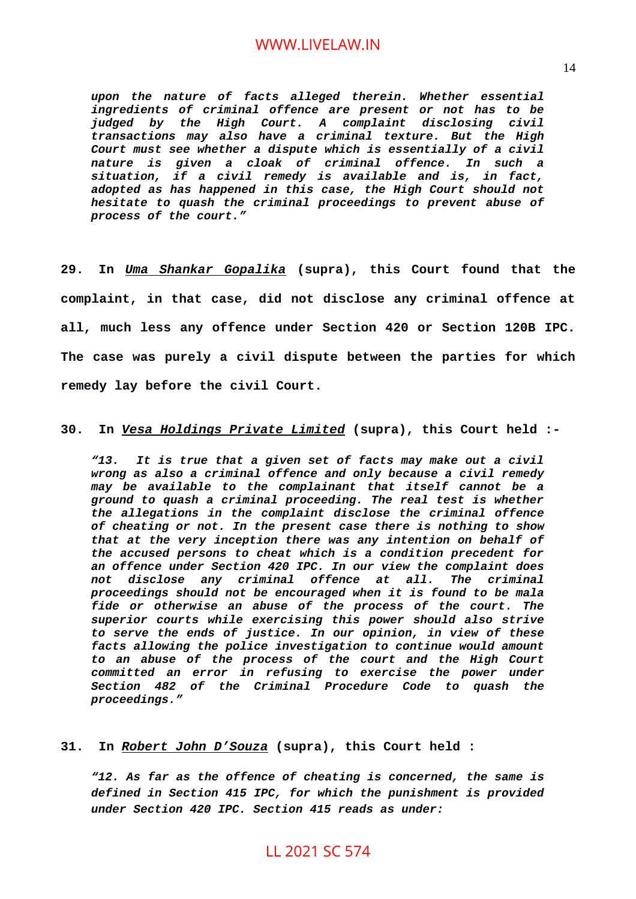*upon the nature of facts alleged therein. Whether essential ingredients of criminal offence are present or not has to be judged by the High Court. A complaint disclosing civil transactions may also have a criminal texture. But the High Court must see whether a dispute which is essentially of a civil nature is given a cloak of criminal offence. In such a situation, if a civil remedy is available and is, in fact, adopted as has happened in this case, the High Court should not hesitate to quash the criminal proceedings to prevent abuse of process of the court."*

**29. In** *Uma Shankar Gopalika* **(supra), this Court found that the complaint, in that case, did not disclose any criminal offence at all, much less any offence under Section 420 or Section 120B IPC. The case was purely a civil dispute between the parties for which remedy lay before the civil Court.**

### **30. In** *Vesa Holdings Private Limited* **(supra), this Court held :-**

*"13. It is true that a given set of facts may make out a civil wrong as also a criminal offence and only because a civil remedy may be available to the complainant that itself cannot be a ground to quash a criminal proceeding. The real test is whether the allegations in the complaint disclose the criminal offence of cheating or not. In the present case there is nothing to show that at the very inception there was any intention on behalf of the accused persons to cheat which is a condition precedent for an offence under Section 420 IPC. In our view the complaint does not disclose any criminal offence at all. The criminal proceedings should not be encouraged when it is found to be mala fide or otherwise an abuse of the process of the court. The superior courts while exercising this power should also strive to serve the ends of justice. In our opinion, in view of these facts allowing the police investigation to continue would amount to an abuse of the process of the court and the High Court committed an error in refusing to exercise the power under Section 482 of the Criminal Procedure Code to quash the proceedings."*

### **31. In** *Robert John D'Souza* **(supra), this Court held :**

*"12. As far as the offence of cheating is concerned, the same is defined in Section 415 IPC, for which the punishment is provided under Section 420 IPC. Section 415 reads as under:*

14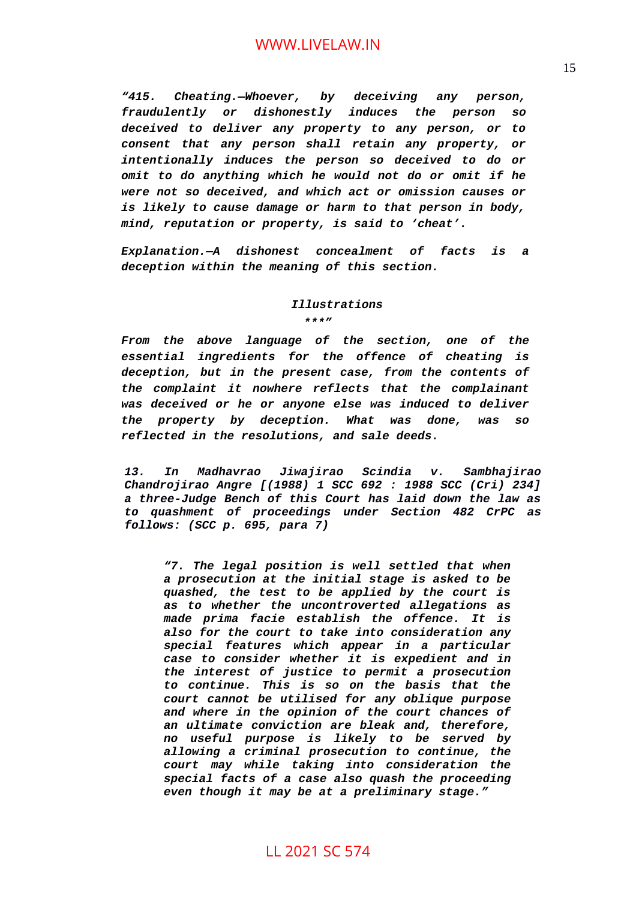*"415. Cheating.—Whoever, by deceiving any person, fraudulently or dishonestly induces the person so deceived to deliver any property to any person, or to consent that any person shall retain any property, or intentionally induces the person so deceived to do or omit to do anything which he would not do or omit if he were not so deceived, and which act or omission causes or is likely to cause damage or harm to that person in body, mind, reputation or property, is said to 'cheat'.*

*Explanation.—A dishonest concealment of facts is a deception within the meaning of this section.*

# *Illustrations*

*\*\*\*"*

*From the above language of the section, one of the essential ingredients for the offence of cheating is deception, but in the present case, from the contents of the complaint it nowhere reflects that the complainant was deceived or he or anyone else was induced to deliver the property by deception. What was done, was so reflected in the resolutions, and sale deeds.*

*13. In Madhavrao Jiwajirao Scindia v. Sambhajirao Chandrojirao Angre [(1988) 1 SCC 692 : 1988 SCC (Cri) 234] a three-Judge Bench of this Court has laid down the law as to quashment of proceedings under Section 482 CrPC as follows: (SCC p. 695, para 7)*

*"7. The legal position is well settled that when a prosecution at the initial stage is asked to be quashed, the test to be applied by the court is as to whether the uncontroverted allegations as made prima facie establish the offence. It is also for the court to take into consideration any special features which appear in a particular case to consider whether it is expedient and in the interest of justice to permit a prosecution to continue. This is so on the basis that the court cannot be utilised for any oblique purpose and where in the opinion of the court chances of an ultimate conviction are bleak and, therefore, no useful purpose is likely to be served by allowing a criminal prosecution to continue, the court may while taking into consideration the special facts of a case also quash the proceeding even though it may be at a preliminary stage."*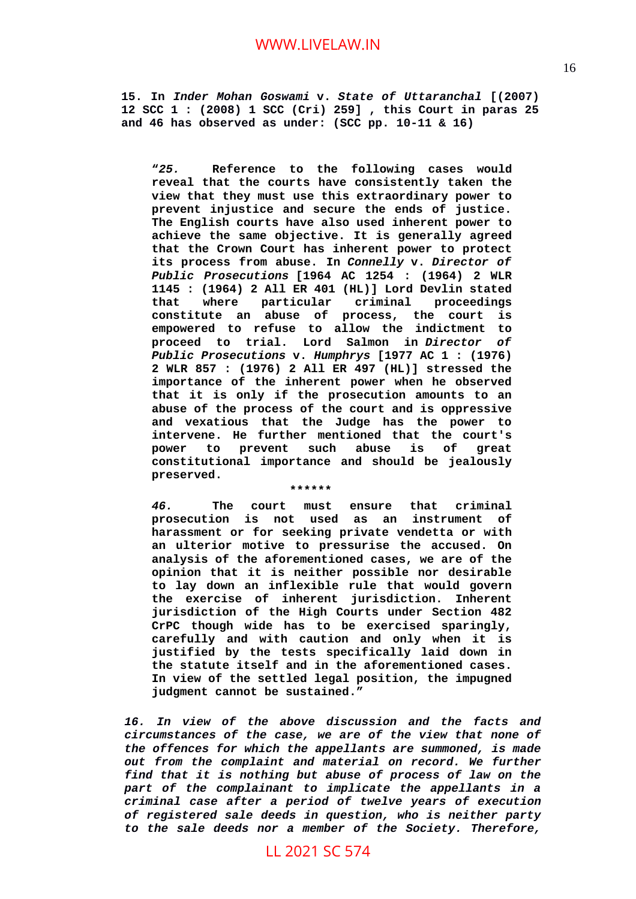**15. In** *Inder Mohan Goswami* **v.** *State of Uttaranchal* **[(2007) 12 SCC 1 : (2008) 1 SCC (Cri) 259] , this Court in paras 25 and 46 has observed as under: (SCC pp. 10-11 & 16)**

**"***25.* **Reference to the following cases would reveal that the courts have consistently taken the view that they must use this extraordinary power to prevent injustice and secure the ends of justice. The English courts have also used inherent power to achieve the same objective. It is generally agreed that the Crown Court has inherent power to protect its process from abuse. In** *Connelly* **v.** *Director of Public Prosecutions* **[1964 AC 1254 : (1964) 2 WLR 1145 : (1964) 2 All ER 401 (HL)] Lord Devlin stated that where particular criminal proceedings constitute an abuse of process, the court is empowered to refuse to allow the indictment to proceed to trial. Lord Salmon in** *Director of Public Prosecutions* **v.** *Humphrys* **[1977 AC 1 : (1976) 2 WLR 857 : (1976) 2 All ER 497 (HL)] stressed the importance of the inherent power when he observed that it is only if the prosecution amounts to an abuse of the process of the court and is oppressive and vexatious that the Judge has the power to intervene. He further mentioned that the court's power to prevent such abuse is of great constitutional importance and should be jealously preserved.**

*46.* **The court must ensure that criminal prosecution is not used as an instrument of harassment or for seeking private vendetta or with an ulterior motive to pressurise the accused. On analysis of the aforementioned cases, we are of the opinion that it is neither possible nor desirable to lay down an inflexible rule that would govern the exercise of inherent jurisdiction. Inherent jurisdiction of the High Courts under Section 482 CrPC though wide has to be exercised sparingly, carefully and with caution and only when it is justified by the tests specifically laid down in the statute itself and in the aforementioned cases. In view of the settled legal position, the impugned judgment cannot be sustained."**

**\*\*\*\*\*\***

*16. In view of the above discussion and the facts and circumstances of the case, we are of the view that none of the offences for which the appellants are summoned, is made out from the complaint and material on record. We further find that it is nothing but abuse of process of law on the part of the complainant to implicate the appellants in a criminal case after a period of twelve years of execution of registered sale deeds in question, who is neither party to the sale deeds nor a member of the Society. Therefore,*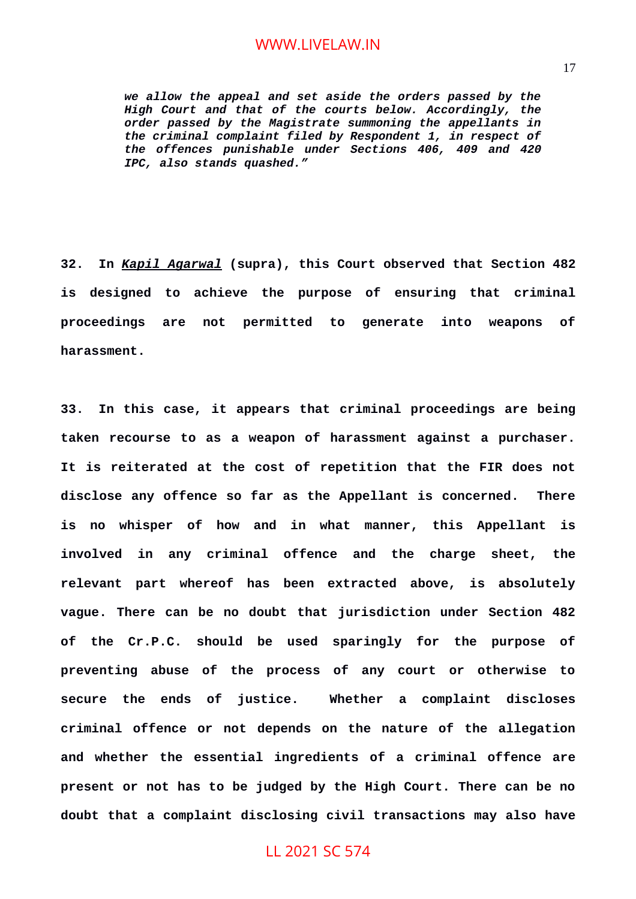*we allow the appeal and set aside the orders passed by the High Court and that of the courts below. Accordingly, the order passed by the Magistrate summoning the appellants in the criminal complaint filed by Respondent 1, in respect of the offences punishable under Sections 406, 409 and 420 IPC, also stands quashed."*

**32. In** *Kapil Agarwal* **(supra), this Court observed that Section 482 is designed to achieve the purpose of ensuring that criminal proceedings are not permitted to generate into weapons of harassment.**

**33. In this case, it appears that criminal proceedings are being taken recourse to as a weapon of harassment against a purchaser. It is reiterated at the cost of repetition that the FIR does not disclose any offence so far as the Appellant is concerned. There is no whisper of how and in what manner, this Appellant is involved in any criminal offence and the charge sheet, the relevant part whereof has been extracted above, is absolutely vague. There can be no doubt that jurisdiction under Section 482 of the Cr.P.C. should be used sparingly for the purpose of preventing abuse of the process of any court or otherwise to secure the ends of justice. Whether a complaint discloses criminal offence or not depends on the nature of the allegation and whether the essential ingredients of a criminal offence are present or not has to be judged by the High Court. There can be no doubt that a complaint disclosing civil transactions may also have**

# LL 2021 SC 574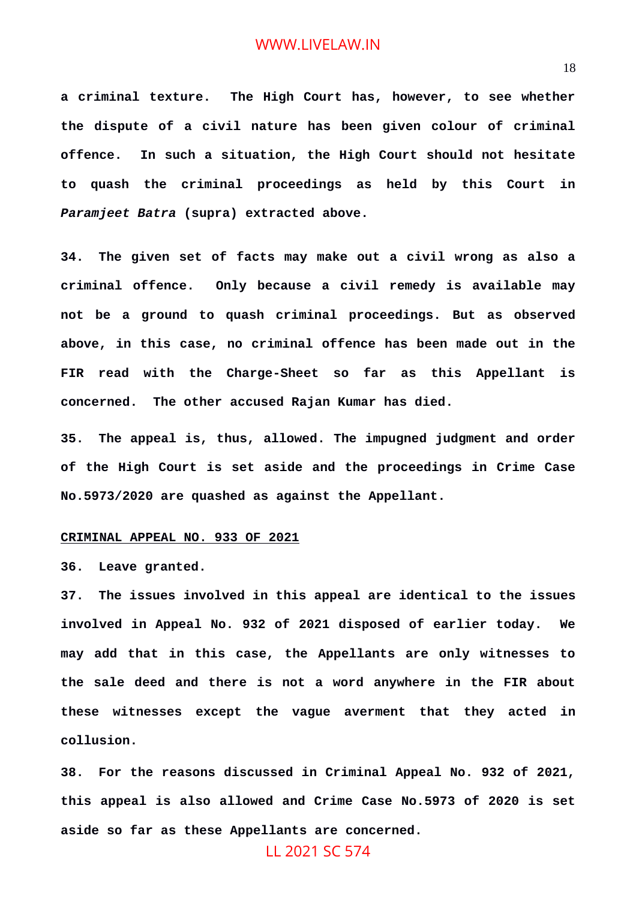**a criminal texture. The High Court has, however, to see whether the dispute of a civil nature has been given colour of criminal offence. In such a situation, the High Court should not hesitate to quash the criminal proceedings as held by this Court in** *Paramjeet Batra* **(supra) extracted above.**

**34. The given set of facts may make out a civil wrong as also a criminal offence. Only because a civil remedy is available may not be a ground to quash criminal proceedings. But as observed above, in this case, no criminal offence has been made out in the FIR read with the Charge-Sheet so far as this Appellant is concerned. The other accused Rajan Kumar has died.**

**35. The appeal is, thus, allowed. The impugned judgment and order of the High Court is set aside and the proceedings in Crime Case No.5973/2020 are quashed as against the Appellant.**

#### **CRIMINAL APPEAL NO. 933 OF 2021**

**36. Leave granted.**

**37. The issues involved in this appeal are identical to the issues involved in Appeal No. 932 of 2021 disposed of earlier today. We may add that in this case, the Appellants are only witnesses to the sale deed and there is not a word anywhere in the FIR about these witnesses except the vague averment that they acted in collusion.**

**38. For the reasons discussed in Criminal Appeal No. 932 of 2021, this appeal is also allowed and Crime Case No.5973 of 2020 is set aside so far as these Appellants are concerned.**

### LL 2021 SC 574